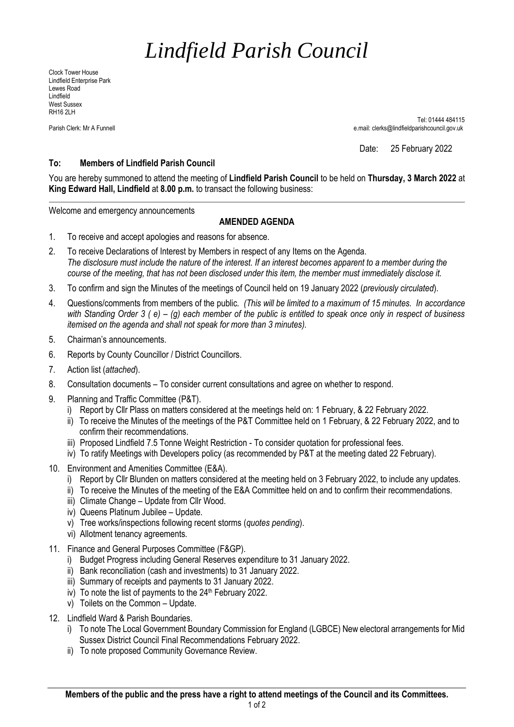## *Lindfield Parish Council*

Clock Tower House Lindfield Enterprise Park Lewes Road Lindfield West Sussex RH16 2LH

 Tel: 01444 484115 Parish Clerk: Mr A Funnell e.mail: clerks@lindfieldparishcouncil.gov.uk

Date: 25 February 2022

## **To: Members of Lindfield Parish Council**

You are hereby summoned to attend the meeting of **Lindfield Parish Council** to be held on **Thursday, 3 March 2022** at **King Edward Hall, Lindfield** at **8.00 p.m.** to transact the following business:

Welcome and emergency announcements

## **AMENDED AGENDA**

- 1. To receive and accept apologies and reasons for absence.
- 2. To receive Declarations of Interest by Members in respect of any Items on the Agenda. *The disclosure must include the nature of the interest. If an interest becomes apparent to a member during the course of the meeting, that has not been disclosed under this item, the member must immediately disclose it.*
- 3. To confirm and sign the Minutes of the meetings of Council held on 19 January 2022 (*previously circulated*).
- 4. Questions/comments from members of the public*. (This will be limited to a maximum of 15 minutes. In accordance with Standing Order 3 ( e) – (g) each member of the public is entitled to speak once only in respect of business itemised on the agenda and shall not speak for more than 3 minutes).*
- 5. Chairman's announcements.
- 6. Reports by County Councillor / District Councillors.
- 7. Action list (*attached*).
- 8. Consultation documents To consider current consultations and agree on whether to respond.
- 9. Planning and Traffic Committee (P&T).
	- i) Report by Cllr Plass on matters considered at the meetings held on: 1 February, & 22 February 2022.
	- ii) To receive the Minutes of the meetings of the P&T Committee held on 1 February, & 22 February 2022, and to confirm their recommendations.
	- iii) Proposed Lindfield 7.5 Tonne Weight Restriction To consider quotation for professional fees.
	- iv) To ratify Meetings with Developers policy (as recommended by P&T at the meeting dated 22 February).
- 10. Environment and Amenities Committee (E&A).
	- i) Report by Cllr Blunden on matters considered at the meeting held on 3 February 2022, to include any updates.
	- ii) To receive the Minutes of the meeting of the E&A Committee held on and to confirm their recommendations.
	- iii) Climate Change Update from Cllr Wood.
	- iv) Queens Platinum Jubilee Update.
	- v) Tree works/inspections following recent storms (*quotes pending*).
	- vi) Allotment tenancy agreements.
- 11. Finance and General Purposes Committee (F&GP).
	- i) Budget Progress including General Reserves expenditure to 31 January 2022.
	- ii) Bank reconciliation (cash and investments) to 31 January 2022.
	- iii) Summary of receipts and payments to 31 January 2022.
	- iv) To note the list of payments to the  $24<sup>th</sup>$  February 2022.
	- v) Toilets on the Common Update.
- 12. Lindfield Ward & Parish Boundaries.
	- i) To note The Local Government Boundary Commission for England (LGBCE) New electoral arrangements for Mid Sussex District Council Final Recommendations February 2022.
	- ii) To note proposed Community Governance Review.